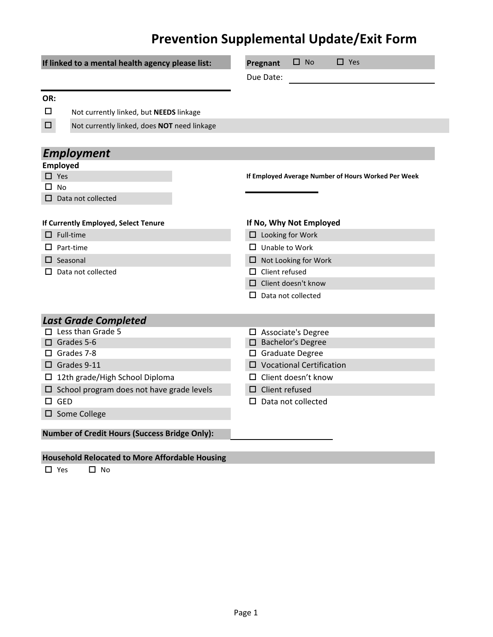## **Prevention Supplemental Update/Exit Form**

| If linked to a mental health agency please list:      | $\square$ No<br>$\Box$ Yes<br>Pregnant              |  |  |  |
|-------------------------------------------------------|-----------------------------------------------------|--|--|--|
|                                                       | Due Date:                                           |  |  |  |
|                                                       |                                                     |  |  |  |
| OR:                                                   |                                                     |  |  |  |
| □<br>Not currently linked, but NEEDS linkage          |                                                     |  |  |  |
| $\Box$<br>Not currently linked, does NOT need linkage |                                                     |  |  |  |
|                                                       |                                                     |  |  |  |
| <b>Employment</b>                                     |                                                     |  |  |  |
| <b>Employed</b>                                       |                                                     |  |  |  |
| $\Box$ Yes                                            | If Employed Average Number of Hours Worked Per Week |  |  |  |
| <b>No</b><br>п                                        |                                                     |  |  |  |
| $\Box$ Data not collected                             |                                                     |  |  |  |
| If Currently Employed, Select Tenure                  | If No, Why Not Employed                             |  |  |  |
| Full-time<br>П.                                       |                                                     |  |  |  |
|                                                       | $\Box$ Looking for Work                             |  |  |  |
| Part-time                                             | $\Box$ Unable to Work                               |  |  |  |
| $\Box$ Seasonal                                       | $\Box$ Not Looking for Work                         |  |  |  |
| Data not collected                                    | $\Box$ Client refused                               |  |  |  |
|                                                       | $\Box$ Client doesn't know                          |  |  |  |
|                                                       | Data not collected                                  |  |  |  |
| <b>Last Grade Completed</b>                           |                                                     |  |  |  |
| Less than Grade 5                                     | $\Box$ Associate's Degree                           |  |  |  |
| $\Box$ Grades 5-6                                     | □ Bachelor's Degree                                 |  |  |  |
| Grades 7-8<br>0                                       | □ Graduate Degree                                   |  |  |  |
| $\Box$ Grades 9-11                                    | $\square$ Vocational Certification                  |  |  |  |
| $\Box$ 12th grade/High School Diploma                 | $\Box$ Client doesn't know                          |  |  |  |
| $\Box$ School program does not have grade levels      | $\Box$ Client refused                               |  |  |  |
| $\square$ GED                                         | Data not collected<br>ப                             |  |  |  |
| □ Some College                                        |                                                     |  |  |  |
| <b>Number of Credit Hours (Success Bridge Only):</b>  |                                                     |  |  |  |
|                                                       |                                                     |  |  |  |

## **Household Relocated to More Affordable Housing**

□ Yes □ No